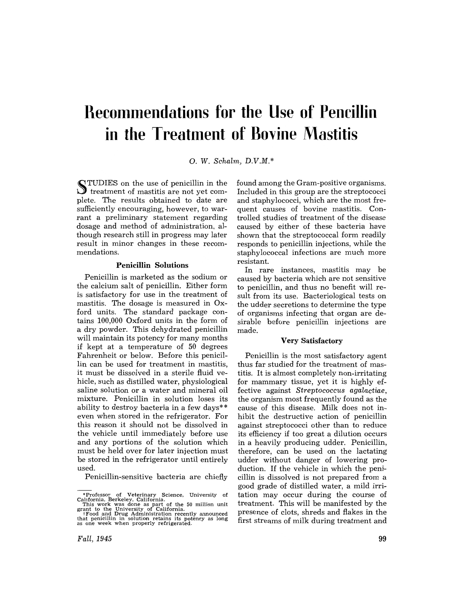# **Recommendations for the Use of Pencillin in the Treatment of Bovine Mastitis**

O. W. *Schalm, D.V.M.\** 

~TUDIES on the use of penicillin in the  $\bigcup$  treatment of mastitis are not yet complete. The results obtained to date are sufficiently encouraging, however, to warrant a preliminary statement regarding dosage and method of administration, although research still in progress may later result in minor changes in these recommendations.

## **Penicillin Solutions**

Penicillin is marketed as the sodium or the calcium salt of penicillin. Either form is satisfactory for use in the treatment of mastitis. The dosage is measured in Oxford units. The standard package contains 100,000 Oxford units in the form of a dry powder. This dehydrated penicillin will maintain its potency for many months if kept at a temperature of 50 degrees Fahrenheit or below. Before this penicillin can be used for treatment in mastitis, it must be dissolved in a sterile fluid vehicle, such as distilled water, physiological saline solution or a water and mineral oil mixture. Penicillin in solution loses its ability to destroy bacteria in a few days\*\* even when stored in the refrigerator. For this reason it should not be dissolved in the vehicle until immediately before use and any portions of the solution which must be held over for later injection must be stored in the refrigerator until entirely used.

Penicillin-sensitive bacteria are chiefly

found among the Gram-positive organisms, Included in this group are the streptococci and staphylococci, which are the most frequent causes of bovine mastitis. Controlled studies of treatment of the disease caused by either of these bacteria have shown that the streptococcal form readily responds to penicillin injections, while the staphylococcal infections are much more resistant.

In rare instances, mastitis may be caused by bacteria which are not sensitive to penicillin, and thus no benefit will result from its use, Bacteriological tests on the udder secretions to determine the type of organisms infecting that organ are desirable before penicillin injections are made.

## **Very Satisfactory**

Penicillin is the most satisfactory agent thus far studied for the treatment of mastitis. It is almost completely non-irritating for mammary tissue, yet it is highly effective against *Streptococcus agalactiae,*  the organism most frequently found as the cause of this disease. Milk does not inhibit the destructive action of penicillin against streptococci other than to reduce its efficiency if too great a dilution occurs in a heavily producing udder. Penicillin, therefore, can be used on the lactating udder without danger of lowering production. If the vehicle in which the penicillin is dissolved is not prepared from a good grade of distilled water, a mild irritation may occur during the course of treatment. This will be manifested by the presence of clots, shreds and flakes in the first streams of milk during treatment and

<sup>\*</sup> Protessor or veterniary Science, University or<br>California, Berkeley, California.<br>This work was done as part of the 50 million unit<br> $\tau$ rant to the University of California.<br>The reduced in the University of California.<br>Th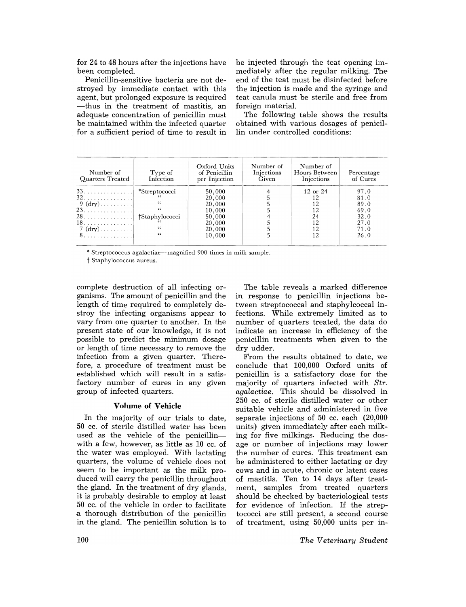for 24 to 48 hours after the injections have been completed.

Penicillin-sensitive bacteria are not destroyed by immediate contact with this agent, but prolonged exposure is required -thus in the treatment of mastitis, an adequate concentration of penicillin must be maintained within the infected quarter for a sufficient period of time to result in be injected through the teat opening immediately after the regular milking. The end of the teat must be disinfected before the injection is made and the syringe and teat canula must be sterile and free from foreign material.

The following table shows the results obtained with various dosages of penicillin under controlled conditions:

| Type of<br>Infection | Oxford Units<br>of Penicillin<br>per Injection | Number of<br>Injections<br>Given | Number of<br>Hours Between<br>Injections | Percentage<br>of Cures |  |
|----------------------|------------------------------------------------|----------------------------------|------------------------------------------|------------------------|--|
| *Streptococci        | 50,000                                         |                                  | 12 or 24                                 | 97.0                   |  |
|                      | 20,000                                         |                                  | 12                                       | 81.0                   |  |
| 66                   | 20,000                                         |                                  | 12                                       | 89.0                   |  |
|                      | 10,000                                         |                                  | 12                                       | 69.0                   |  |
| †Staphylococci       | 50,000                                         |                                  | 24                                       | 32.0                   |  |
|                      | 20,000                                         |                                  | 12                                       | 27.0                   |  |
| 65                   |                                                |                                  |                                          | 71.0                   |  |
| $\epsilon$           |                                                |                                  |                                          | 26.0                   |  |
|                      |                                                | 20,000<br>10,000                 |                                          | 12<br>12               |  |

\* Streptococcus agalactiae-magnified 900 times in milk sample.

t Staphylococcus aureus.

complete destruction of all infecting organisms. The amount of penicillin and the length of time required to completely destroy the infecting organisms appear to vary from one quarter to another. In the present state of our knowledge, it is not possible to predict the minimum dosage or length of time necessary to remove the infection from a given quarter. Therefore, a procedure of treatment must be established which will result in a satisfactory number of cures in any given group of infected quarters.

# **Volume of Vehicle**

In the majority of our trials to date, 50 cc. of sterile distilled water has been used as the vehicle of the penicillinwith a few, however, as little as 10 cc. of the water was employed. With lactating quarters, the volume of vehicle does not seem to be important as the milk produced will carry the penicillin throughout the gland. In the treatment of dry glands, it is probably desirable to employ at least 50 cc. of the vehicle in order to facilitate a thorough distribution of the penicillin in. the gland. The penicillin solution is to

The table reveals a marked difference in response to penicillin injections between streptococcal and staphylcoccal infections. While extremely limited as to number of quarters treated, the data do indicate an increase in efficiency of the penicillin treatments when given to the dry udder.

From the results obtained to date, we conclude that 100,000 Oxford units of penicillin is a satisfactory dose for the majority of quarters infected with *Str. agalactiae.* This should be dissolved in 250 cc. of sterile distilled water or other suitable vehicle and administered in five separate injections of 50 cc. each (20,000 units) given immediately after each milking for five milkings. Reducing the dosage or number of injections may lower the number of cures. This treatment can be administered to either lactating or dry cows and in acute, chronic or latent cases of mastitis. Ten to 14 days after treatment, samples from treated quarters should be checked by bacteriological tests for evidence of infection. If the streptococci are still present, a second course of treatment, using 50,000 units per in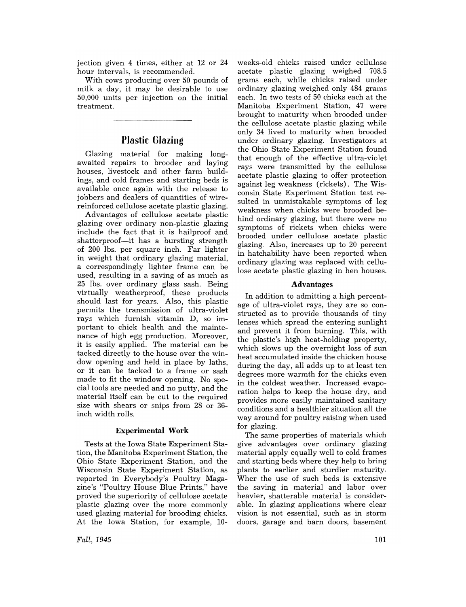jection given 4 times, either at 12 or 24 hour intervals, is recommended.

With cows producing over 50 pounds of milk a day, it may be desirable to use 50,000 units per injection on the initial treatment.

# **Plastic Glazing**

Glazing material for making longawaited repairs to brooder and laying houses, livestock and other farm buildings, and cold frames and starting beds is available once again with the release to jobbers and dealers of quantities of wirereinforced cellulose acetate plastic glazing.

Advantages of cellulose acetate plastic glazing over ordinary non-plastic glazing include the fact that it is hailproof and shatterproof—it has a bursting strength of 200 lbs. per square inch. Far lighter in weight that ordinary glazing material, a correspondingly lighter frame can be used, resulting in a saving of as much as 25 lbs. over ordinary glass sash. Being virtually weatherproof, these products should last for years. Also, this plastic permits the transmission of ultra-violet rays which furnish vitamin D, so important to chick health and the maintenance of high egg production. Moreover, it is easily applied. The material can be tacked directly to the house over the window opening and held in place by laths, or it can be tacked to a frame or sash made to fit the window opening. No special tools are needed and no putty, and the material itself can be cut to the required size with shears or snips from 28 or 36 inch width rolls.

# **Experimental Work**

Tests at the Iowa State Experiment Station, the Manitoba Experiment Station, the Ohio State Experiment Station, and the Wisconsin State Experiment Station, as reported in Everybody's Poultry Magazine's "Poultry House Blue Prints," have proved the superiority of cellulose acetate plastic glazing over the more commonly used glazing material for brooding chicks. At the Iowa Station, for example, 10-

*Fall,1945* 

weeks-old chicks raised under cellulose acetate plastic glazing weighed 708.5 grams each, while chicks raised under ordinary glazing weighed only 484 grams each. In two tests of 50 chicks each at the Manitoba Experiment Station, 47 were brought to maturity when brooded under the cellulose acetate plastic glazing while only 34 lived to maturity when brooded under ordinary glazing. Investigators at the Ohio State Experiment Station found that enough of the effective ultra-violet rays were transmitted by the cellulose acetate plastic glazing to offer protection against leg weakness (rickets). The Wisconsin State Experiment Station test resulted in unmistakable symptoms of leg weakness when chicks were brooded behind ordinary glazing, but there were no symptoms of rickets when chicks were brooded under cellulose acetate plastic glazing. Also, increases up to 20 percent in hatchability have been reported when ordinary glazing was replaced with cellulose acetate plastic glazing in hen houses.

## **Advantages**

In addition to admitting a high percentage of ultra-violet rays, they are so constructed as to provide thousands of tiny lenses which spread the entering sunlight and prevent it from burning. This, with the plastic's high heat-holding property, which slows up the overnight loss of sun heat accumulated inside the chicken house during the day, all adds up to at least ten degrees more warmth for the chicks even in the coldest weather. Increased evaporation helps to keep the house dry, and provides more easily maintained sanitary conditions and a healthier situation all the way around for poultry raising when used for glazing.

The same properties of materials which give advantages over ordinary glazing material apply equally well to cold frames and starting beds where they help to bring plants to earlier and sturdier maturity. Wher the use of such beds is extensive the saving in material and labor over heavier, shatterable material is considerable. In glazing applications where clear vision is not essential, such as in storm doors, garage and barn doors, basement